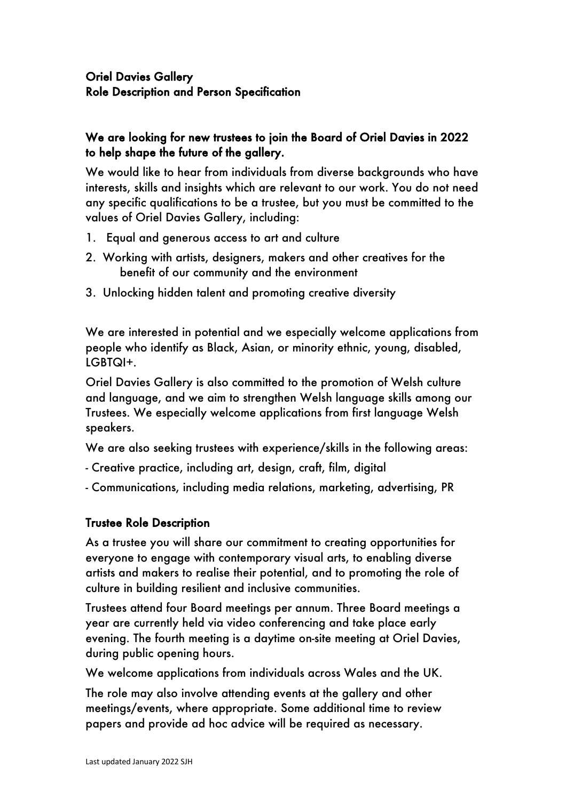# Oriel Davies Gallery Role Description and Person Specification

# We are looking for new trustees to join the Board of Oriel Davies in 2022 to help shape the future of the gallery.

We would like to hear from individuals from diverse backgrounds who have interests, skills and insights which are relevant to our work. You do not need any specific qualifications to be a trustee, but you must be committed to the values of Oriel Davies Gallery, including:

- 1. Equal and generous access to art and culture
- 2. Working with artists, designers, makers and other creatives for the benefit of our community and the environment
- 3. Unlocking hidden talent and promoting creative diversity

We are interested in potential and we especially welcome applications from people who identify as Black, Asian, or minority ethnic, young, disabled, LGBTQI+.

Oriel Davies Gallery is also committed to the promotion of Welsh culture and language, and we aim to strengthen Welsh language skills among our Trustees. We especially welcome applications from first language Welsh speakers.

We are also seeking trustees with experience/skills in the following areas:

- Creative practice, including art, design, craft, film, digital
- Communications, including media relations, marketing, advertising, PR

### Trustee Role Description

As a trustee you will share our commitment to creating opportunities for everyone to engage with contemporary visual arts, to enabling diverse artists and makers to realise their potential, and to promoting the role of culture in building resilient and inclusive communities.

Trustees attend four Board meetings per annum. Three Board meetings a year are currently held via video conferencing and take place early evening. The fourth meeting is a daytime on-site meeting at Oriel Davies, during public opening hours.

We welcome applications from individuals across Wales and the UK.

The role may also involve attending events at the gallery and other meetings/events, where appropriate. Some additional time to review papers and provide ad hoc advice will be required as necessary.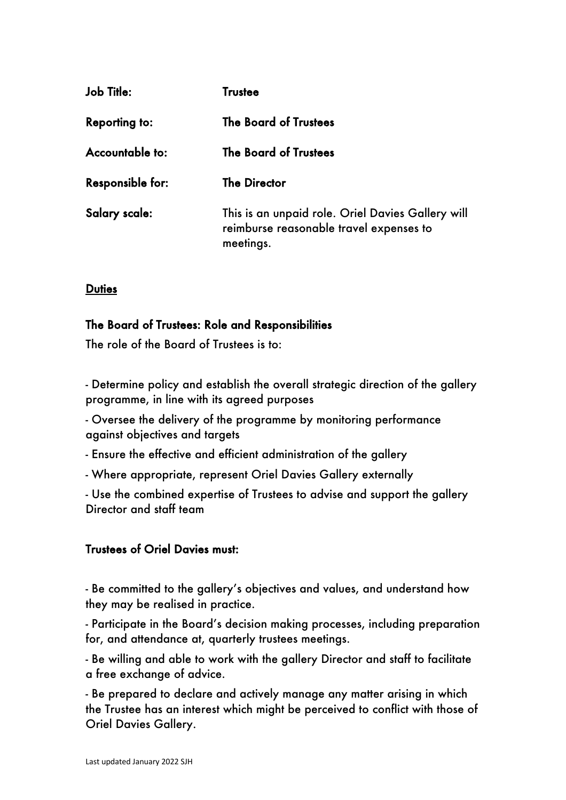| Job Ti <del>l</del> le: | <b>Trustee</b>                                                                                            |
|-------------------------|-----------------------------------------------------------------------------------------------------------|
| <b>Reporting to:</b>    | The Board of Trustees                                                                                     |
| Accountable to:         | <b>The Board of Trustees</b>                                                                              |
| <b>Responsible for:</b> | <b>The Director</b>                                                                                       |
| Salary scale:           | This is an unpaid role. Oriel Davies Gallery will<br>reimburse reasonable travel expenses to<br>meetings. |

#### **Duties**

#### The Board of Trustees: Role and Responsibilities

The role of the Board of Trustees is to:

- Determine policy and establish the overall strategic direction of the gallery programme, in line with its agreed purposes

- Oversee the delivery of the programme by monitoring performance against objectives and targets

- Ensure the effective and efficient administration of the gallery

- Where appropriate, represent Oriel Davies Gallery externally

- Use the combined expertise of Trustees to advise and support the gallery Director and staff team

#### Trustees of Oriel Davies must:

- Be committed to the gallery's objectives and values, and understand how they may be realised in practice.

- Participate in the Board's decision making processes, including preparation for, and attendance at, quarterly trustees meetings.

- Be willing and able to work with the gallery Director and staff to facilitate a free exchange of advice.

- Be prepared to declare and actively manage any matter arising in which the Trustee has an interest which might be perceived to conflict with those of Oriel Davies Gallery.